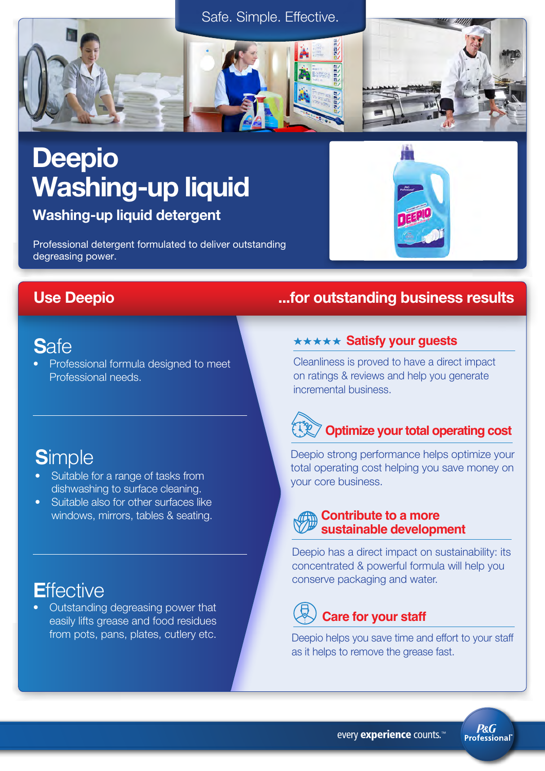



## **Deepio** Washing-up liquid

Washing-up liquid detergent

Professional detergent formulated to deliver outstanding degreasing power.



### **S**afe

• Professional formula designed to meet Professional needs.

## **S**imple

- Suitable for a range of tasks from dishwashing to surface cleaning.
- Suitable also for other surfaces like windows, mirrors, tables & seating.

## **E**ffective

• Outstanding degreasing power that easily lifts grease and food residues from pots, pans, plates, cutlery etc.

### Use Deepio ...for outstanding business results

### **\*\*\*\*\* Satisfy your guests**

Cleanliness is proved to have a direct impact on ratings & reviews and help you generate incremental business.

## **Optimize your total operating cost**

Deepio strong performance helps optimize your total operating cost helping you save money on your core business.

### **Contribute to a more sustainable development**

Deepio has a direct impact on sustainability: its concentrated & powerful formula will help you conserve packaging and water.

## **Care for your staff**

Deepio helps you save time and effort to your staff as it helps to remove the grease fast.

every experience counts.<sup>™</sup>

**P&G Professional**